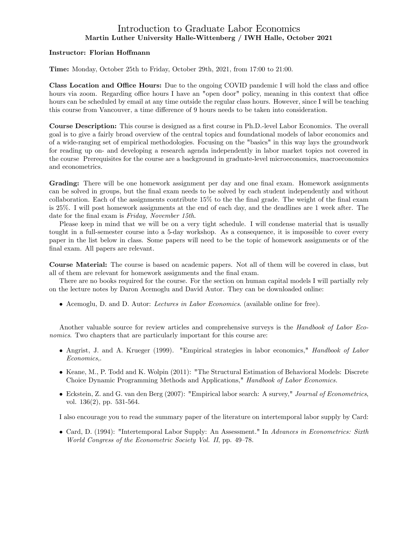## Introduction to Graduate Labor Economics Martin Luther University Halle-Wittenberg / IWH Halle, October 2021

### Instructor: Florian Hoffmann

Time: Monday, October 25th to Friday, October 29th, 2021, from 17:00 to 21:00.

Class Location and Office Hours: Due to the ongoing COVID pandemic I will hold the class and office hours via zoom. Regarding office hours I have an "open door" policy, meaning in this context that office hours can be scheduled by email at any time outside the regular class hours. However, since I will be teaching this course from Vancouver, a time difference of 9 hours needs to be taken into consideration.

**Course Description:** This course is designed as a first course in Ph.D.-level Labor Economics. The overall goal is to give a fairly broad overview of the central topics and foundational models of labor economics and of a wide-ranging set of empirical methodologies. Focusing on the "basics" in this way lays the groundwork for reading up on- and developing a research agenda independently in labor market topics not covered in the course Prerequisites for the course are a background in graduate-level microeconomics, macroeconomics and econometrics.

Grading: There will be one homework assignment per day and one final exam. Homework assignments can be solved in groups, but the final exam needs to be solved by each student independently and without collaboration. Each of the assignments contribute  $15\%$  to the final grade. The weight of the final exam is 25%. I will post homework assignments at the end of each day, and the deadlines are 1 week after. The date for the final exam is Friday, November 15th.

Please keep in mind that we will be on a very tight schedule. I will condense material that is usually tought in a full-semester course into a 5-day workshop. As a consequence, it is impossible to cover every paper in the list below in class. Some papers will need to be the topic of homework assignments or of the final exam. All papers are relevant.

Course Material: The course is based on academic papers. Not all of them will be covered in class, but all of them are relevant for homework assignments and the final exam.

There are no books required for the course. For the section on human capital models I will partially rely on the lecture notes by Daron Acemoglu and David Autor. They can be downloaded online:

Acemoglu, D. and D. Autor: Lectures in Labor Economics. (available online for free).

Another valuable source for review articles and comprehensive surveys is the Handbook of Labor Economics. Two chapters that are particularly important for this course are:

- Angrist, J. and A. Krueger (1999). "Empirical strategies in labor economics," Handbook of Labor Economics,.
- Keane, M., P. Todd and K. Wolpin (2011): "The Structural Estimation of Behavioral Models: Discrete Choice Dynamic Programming Methods and Applications," Handbook of Labor Economics.
- Eckstein, Z. and G. van den Berg (2007): "Empirical labor search: A survey," Journal of Econometrics, vol. 136(2), pp. 531-564.

I also encourage you to read the summary paper of the literature on intertemporal labor supply by Card:

• Card, D. (1994): "Intertemporal Labor Supply: An Assessment." In Advances in Econometrics: Sixth World Congress of the Econometric Society Vol. II, pp. 49–78.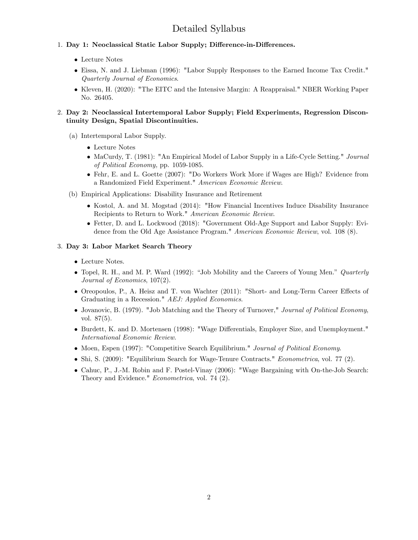# Detailed Syllabus

- 1. Day 1: Neoclassical Static Labor Supply; Difference-in-Differences.
	- Lecture Notes
	- Eissa, N. and J. Liebman (1996): "Labor Supply Responses to the Earned Income Tax Credit." Quarterly Journal of Economics.
	- Kleven, H. (2020): "The EITC and the Intensive Margin: A Reappraisal." NBER Working Paper No. 26405.

## 2. Day 2: Neoclassical Intertemporal Labor Supply; Field Experiments, Regression Discontinuity Design, Spatial Discontinuities.

- (a) Intertemporal Labor Supply.
	- Lecture Notes
	- MaCurdy, T. (1981): "An Empirical Model of Labor Supply in a Life-Cycle Setting." Journal of Political Economy, pp. 1059-1085.
	- Fehr, E. and L. Goette (2007): "Do Workers Work More if Wages are High? Evidence from a Randomized Field Experiment." American Economic Review.
- (b) Empirical Applications: Disability Insurance and Retirement
	- Kostol, A. and M. Mogstad (2014): "How Financial Incentives Induce Disability Insurance Recipients to Return to Work." American Economic Review.
	- Fetter, D. and L. Lockwood (2018): "Government Old-Age Support and Labor Supply: Evidence from the Old Age Assistance Program." American Economic Review, vol. 108 (8).

### 3. Day 3: Labor Market Search Theory

- Lecture Notes.
- Topel, R. H., and M. P. Ward (1992): "Job Mobility and the Careers of Young Men." Quarterly Journal of Economics, 107(2).
- $\bullet$  Oreopoulos, P., A. Heisz and T. von Wachter (2011): "Short- and Long-Term Career Effects of Graduating in a Recession." AEJ: Applied Economics.
- Jovanovic, B. (1979). "Job Matching and the Theory of Turnover," Journal of Political Economy, vol. 87(5).
- Burdett, K. and D. Mortensen (1998): "Wage Differentials, Employer Size, and Unemployment." International Economic Review.
- Moen, Espen (1997): "Competitive Search Equilibrium." Journal of Political Economy.
- Shi, S. (2009): "Equilibrium Search for Wage-Tenure Contracts." *Econometrica*, vol. 77 (2).
- Cahuc, P., J.-M. Robin and F. Postel-Vinay (2006): "Wage Bargaining with On-the-Job Search: Theory and Evidence." Econometrica, vol. 74 (2).